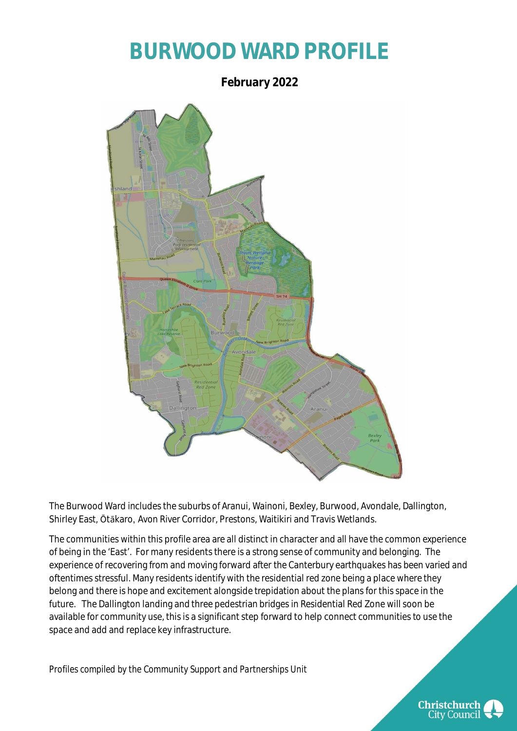## **BURWOOD WARD PROFILE**

**February 2022** Dalli

The Burwood Ward includes the suburbs of Aranui, Wainoni, Bexley, Burwood, Avondale, Dallington, Shirley East, Ōtākaro, Avon River Corridor, Prestons, Waitikiri and Travis Wetlands.

The communities within this profile area are all distinct in character and all have the common experience of being in the 'East'. For many residents there is a strong sense of community and belonging. The experience of recovering from and moving forward after the Canterbury earthquakes has been varied and oftentimes stressful. Many residents identify with the residential red zone being a place where they belong and there is hope and excitement alongside trepidation about the plans for this space in the future. The Dallington landing and three pedestrian bridges in Residential Red Zone will soon be available for community use, this is a significant step forward to help connect communities to use the space and add and replace key infrastructure.

*Profiles compiled by the Community Support and Partnerships Unit*

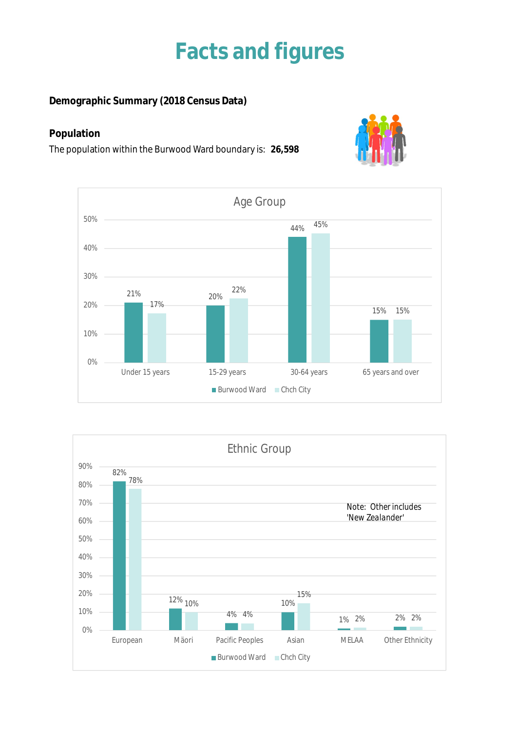## **Facts and figures**

**Demographic Summary (2018 Census Data)**

### **Population**

The population within the Burwood Ward boundary is: **26,598**





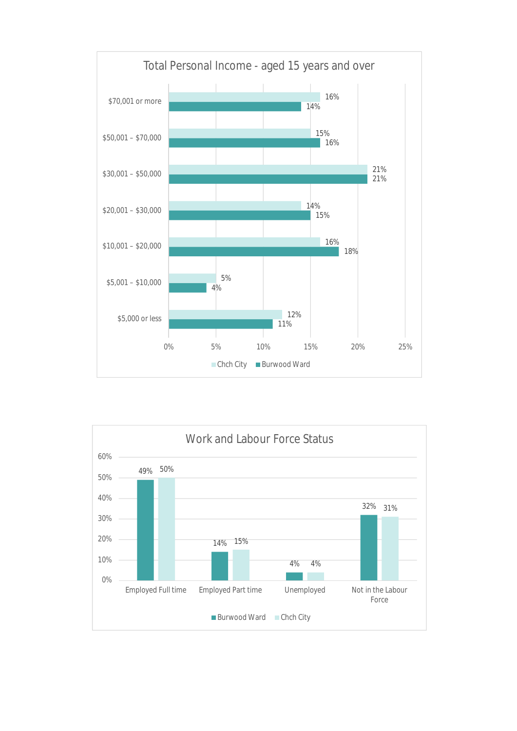

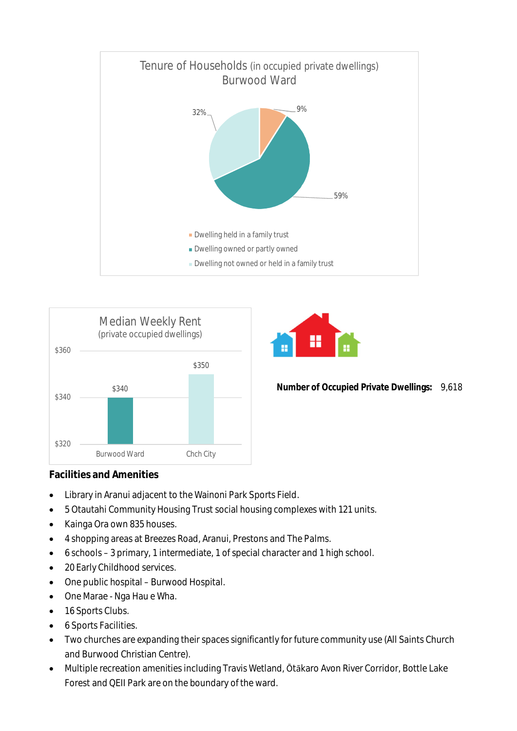





**Number of Occupied Private Dwellings:** 9,618

#### **Facilities and Amenities**

- Library in Aranui adjacent to the Wainoni Park Sports Field.
- 5 Otautahi Community Housing Trust social housing complexes with 121 units.
- Kainga Ora own 835 houses.
- 4 shopping areas at Breezes Road, Aranui, Prestons and The Palms.
- 6 schools 3 primary, 1 intermediate, 1 of special character and 1 high school.
- 20 Early Childhood services.
- One public hospital Burwood Hospital.
- One Marae Nga Hau e Wha.
- 16 Sports Clubs.
- 6 Sports Facilities.
- Two churches are expanding their spaces significantly for future community use (All Saints Church and Burwood Christian Centre).
- Multiple recreation amenities including Travis Wetland, Ōtākaro Avon River Corridor, Bottle Lake Forest and QEII Park are on the boundary of the ward.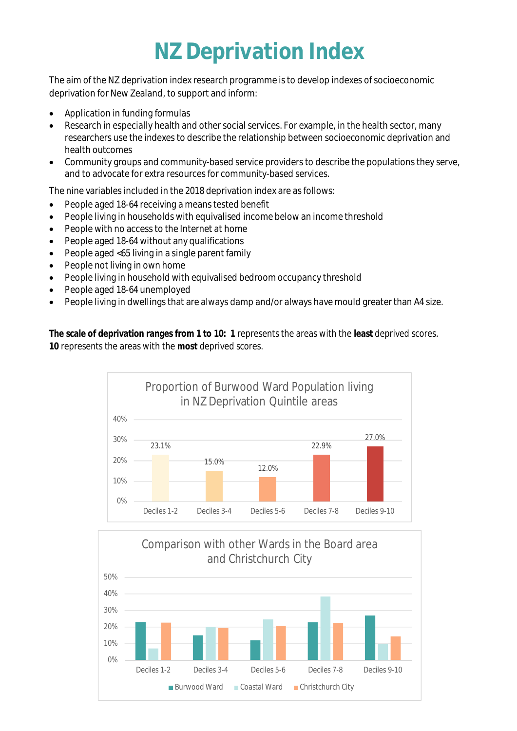## **NZ Deprivation Index**

The aim of the NZ deprivation index research programme is to develop indexes of socioeconomic deprivation for New Zealand, to support and inform:

- Application in funding formulas
- Research in especially health and other social services. For example, in the health sector, many researchers use the indexes to describe the relationship between socioeconomic deprivation and health outcomes
- Community groups and community-based service providers to describe the populations they serve, and to advocate for extra resources for community-based services.

The nine variables included in the 2018 deprivation index are as follows:

- People aged 18-64 receiving a means tested benefit
- People living in households with equivalised income below an income threshold
- People with no access to the Internet at home
- People aged 18-64 without any qualifications
- People aged <65 living in a single parent family
- People not living in own home
- People living in household with equivalised bedroom occupancy threshold
- People aged 18-64 unemployed
- People living in dwellings that are always damp and/or always have mould greater than A4 size.

**The scale of deprivation ranges from 1 to 10: 1** represents the areas with the **least** deprived scores. **10** represents the areas with the **most** deprived scores.



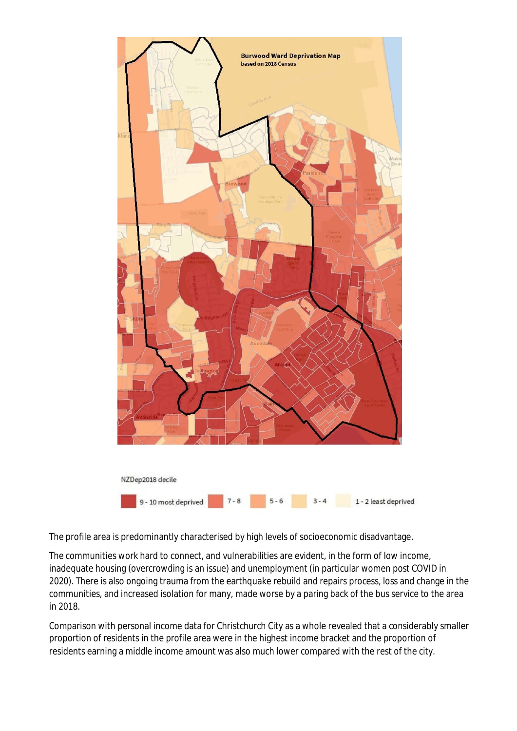

The profile area is predominantly characterised by high levels of socioeconomic disadvantage.

The communities work hard to connect, and vulnerabilities are evident, in the form of low income, inadequate housing (overcrowding is an issue) and unemployment (in particular women post COVID in 2020). There is also ongoing trauma from the earthquake rebuild and repairs process, loss and change in the communities, and increased isolation for many, made worse by a paring back of the bus service to the area in 2018.

Comparison with personal income data for Christchurch City as a whole revealed that a considerably smaller proportion of residents in the profile area were in the highest income bracket and the proportion of residents earning a middle income amount was also much lower compared with the rest of the city.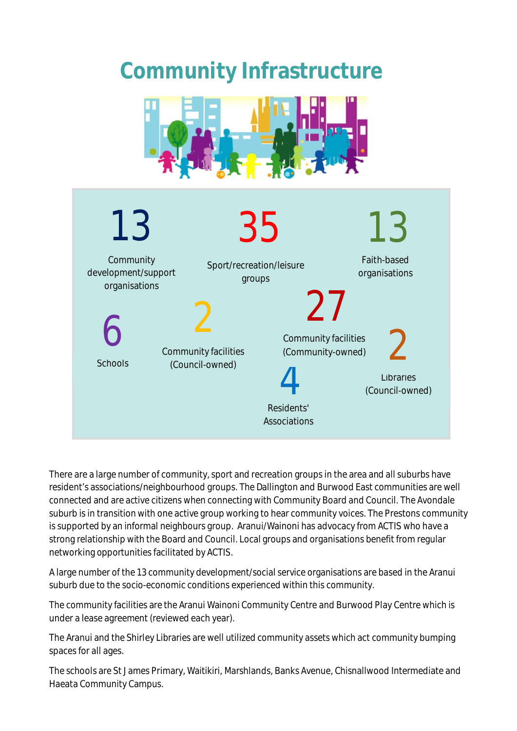## **Community Infrastructure**





There are a large number of community, sport and recreation groups in the area and all suburbs have resident's associations/neighbourhood groups. The Dallington and Burwood East communities are well connected and are active citizens when connecting with Community Board and Council. The Avondale suburb is in transition with one active group working to hear community voices. The Prestons community is supported by an informal neighbours group. Aranui/Wainoni has advocacy from ACTIS who have a strong relationship with the Board and Council. Local groups and organisations benefit from regular networking opportunities facilitated by ACTIS.

A large number of the 13 community development/social service organisations are based in the Aranui suburb due to the socio-economic conditions experienced within this community.

The community facilities are the Aranui Wainoni Community Centre and Burwood Play Centre which is under a lease agreement (reviewed each year).

The Aranui and the Shirley Libraries are well utilized community assets which act community bumping spaces for all ages.

The schools are St James Primary, Waitikiri, Marshlands, Banks Avenue, Chisnallwood Intermediate and Haeata Community Campus.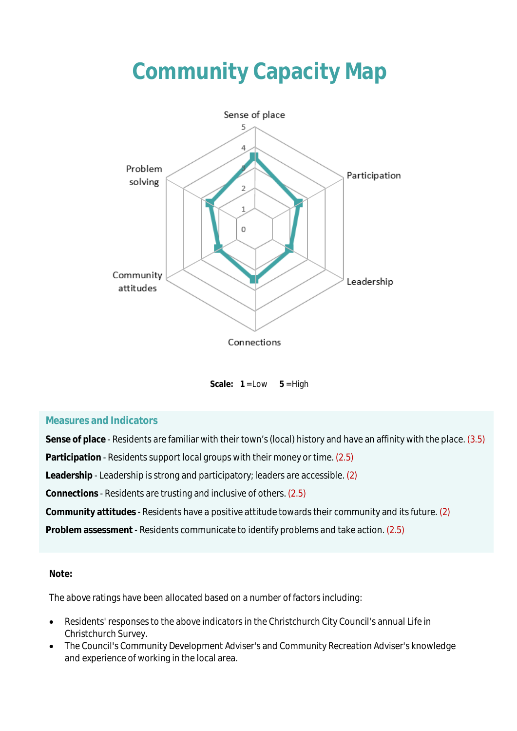# **Community Capacity Map**



Scale:  $1 = Low$   $5 = High$ 

#### **Measures and Indicators**

**Sense of place** - Residents are familiar with their town's (local) history and have an affinity with the place. (3.5) **Participation** - Residents support local groups with their money or time. (2.5) **Leadership** - Leadership is strong and participatory; leaders are accessible. (2) **Connections** - Residents are trusting and inclusive of others. (2.5) **Community attitudes** - Residents have a positive attitude towards their community and its future. (2) **Problem assessment** - Residents communicate to identify problems and take action. (2.5)

#### **Note:**

The above ratings have been allocated based on a number of factors including:

- Residents' responses to the above indicators in the Christchurch City Council's annual Life in Christchurch Survey.
- The Council's Community Development Adviser's and Community Recreation Adviser's knowledge and experience of working in the local area.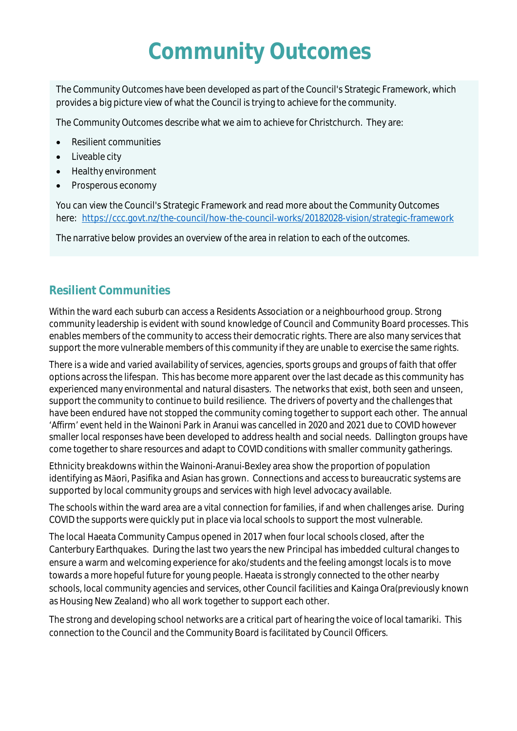## **Community Outcomes**

The Community Outcomes have been developed as part of the Council's Strategic Framework, which provides a big picture view of what the Council is trying to achieve for the community.

The Community Outcomes describe what we aim to achieve for Christchurch. They are:

- **•** Resilient communities
- Liveable city
- Healthy environment
- Prosperous economy

You can view the Council's Strategic Framework and read more about the Community Outcomes here: https://ccc.govt.nz/the-council/how-the-council-works/20182028-vision/strategic-framework

The narrative below provides an overview of the area in relation to each of the outcomes.

### **Resilient Communities**

Within the ward each suburb can access a Residents Association or a neighbourhood group. Strong community leadership is evident with sound knowledge of Council and Community Board processes. This enables members of the community to access their democratic rights. There are also many services that support the more vulnerable members of this community if they are unable to exercise the same rights.

There is a wide and varied availability of services, agencies, sports groups and groups of faith that offer options across the lifespan. This has become more apparent over the last decade as this community has experienced many environmental and natural disasters. The networks that exist, both seen and unseen, support the community to continue to build resilience. The drivers of poverty and the challenges that have been endured have not stopped the community coming together to support each other. The annual 'Affirm' event held in the Wainoni Park in Aranui was cancelled in 2020 and 2021 due to COVID however smaller local responses have been developed to address health and social needs. Dallington groups have come together to share resources and adapt to COVID conditions with smaller community gatherings.

Ethnicity breakdowns within the Wainoni-Aranui-Bexley area show the proportion of population identifying as Māori, Pasifika and Asian has grown. Connections and access to bureaucratic systems are supported by local community groups and services with high level advocacy available.

The schools within the ward area are a vital connection for families, if and when challenges arise. During COVID the supports were quickly put in place via local schools to support the most vulnerable.

The local Haeata Community Campus opened in 2017 when four local schools closed, after the Canterbury Earthquakes. During the last two years the new Principal has imbedded cultural changes to ensure a warm and welcoming experience for ako/students and the feeling amongst locals is to move towards a more hopeful future for young people. Haeata is strongly connected to the other nearby schools, local community agencies and services, other Council facilities and Kainga Ora(previously known as Housing New Zealand) who all work together to support each other.

The strong and developing school networks are a critical part of hearing the voice of local tamariki. This connection to the Council and the Community Board is facilitated by Council Officers.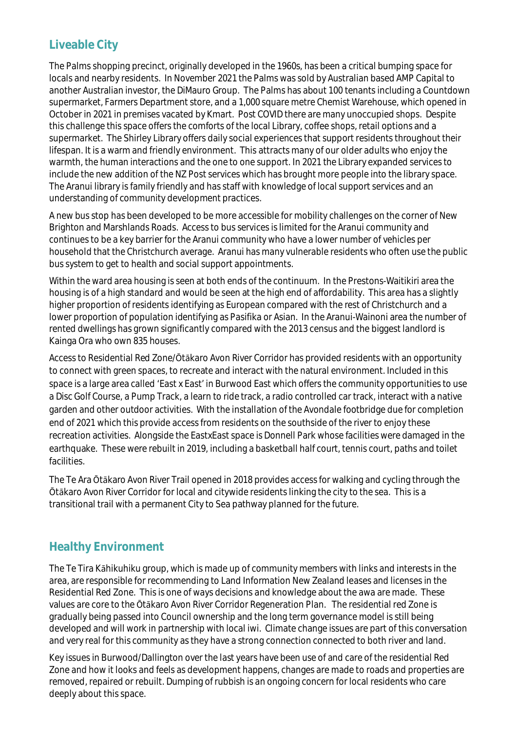### **Liveable City**

The Palms shopping precinct, originally developed in the 1960s, has been a critical bumping space for locals and nearby residents. In November 2021 the Palms was sold by Australian based AMP Capital to another Australian investor, the DiMauro Group. The Palms has about 100 tenants including a Countdown supermarket, Farmers Department store, and a 1,000 square metre Chemist Warehouse, which opened in October in 2021 in premises vacated by Kmart. Post COVID there are many unoccupied shops. Despite this challenge this space offers the comforts of the local Library, coffee shops, retail options and a supermarket. The Shirley Library offers daily social experiences that support residents throughout their lifespan. It is a warm and friendly environment. This attracts many of our older adults who enjoy the warmth, the human interactions and the one to one support. In 2021 the Library expanded services to include the new addition of the NZ Post services which has brought more people into the library space. The Aranui library is family friendly and has staff with knowledge of local support services and an understanding of community development practices.

A new bus stop has been developed to be more accessible for mobility challenges on the corner of New Brighton and Marshlands Roads. Access to bus services is limited for the Aranui community and continues to be a key barrier for the Aranui community who have a lower number of vehicles per household that the Christchurch average. Aranui has many vulnerable residents who often use the public bus system to get to health and social support appointments.

Within the ward area housing is seen at both ends of the continuum. In the Prestons-Waitikiri area the housing is of a high standard and would be seen at the high end of affordability. This area has a slightly higher proportion of residents identifying as European compared with the rest of Christchurch and a lower proportion of population identifying as Pasifika or Asian. In the Aranui-Wainoni area the number of rented dwellings has grown significantly compared with the 2013 census and the biggest landlord is Kainga Ora who own 835 houses.

Access to Residential Red Zone/Ōtākaro Avon River Corridor has provided residents with an opportunity to connect with green spaces, to recreate and interact with the natural environment. Included in this space is a large area called 'East x East' in Burwood East which offers the community opportunities to use a Disc Golf Course, a Pump Track, a learn to ride track, a radio controlled car track, interact with a native garden and other outdoor activities. With the installation of the Avondale footbridge due for completion end of 2021 which this provide access from residents on the southside of the river to enjoy these recreation activities. Alongside the EastxEast space is Donnell Park whose facilities were damaged in the earthquake. These were rebuilt in 2019, including a basketball half court, tennis court, paths and toilet facilities.

The Te Ara Ōtākaro Avon River Trail opened in 2018 provides access for walking and cycling through the Ōtākaro Avon River Corridor for local and citywide residents linking the city to the sea. This is a transitional trail with a permanent City to Sea pathway planned for the future.

### **Healthy Environment**

The Te Tira Kāhikuhiku group, which is made up of community members with links and interests in the area, are responsible for recommending to Land Information New Zealand leases and licenses in the Residential Red Zone. This is one of ways decisions and knowledge about the awa are made. These values are core to the Ōtākaro Avon River Corridor Regeneration Plan. The residential red Zone is gradually being passed into Council ownership and the long term governance model is still being developed and will work in partnership with local iwi. Climate change issues are part of this conversation and very real for this community as they have a strong connection connected to both river and land.

Key issues in Burwood/Dallington over the last years have been use of and care of the residential Red Zone and how it looks and feels as development happens, changes are made to roads and properties are removed, repaired or rebuilt. Dumping of rubbish is an ongoing concern for local residents who care deeply about this space.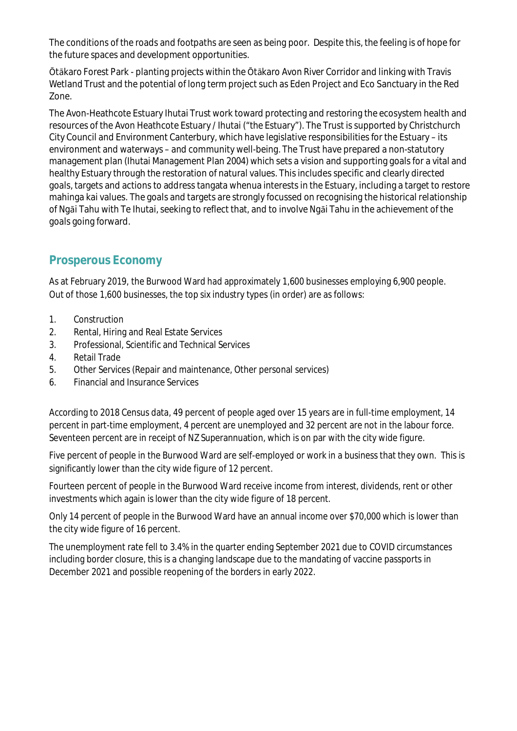The conditions of the roads and footpaths are seen as being poor. Despite this, the feeling is of hope for the future spaces and development opportunities.

Ōtākaro Forest Park - planting projects within the Ōtākaro Avon River Corridor and linking with Travis Wetland Trust and the potential of long term project such as Eden Project and Eco Sanctuary in the Red Zone.

The Avon-Heathcote Estuary Ihutai Trust work toward protecting and restoring the ecosystem health and resources of the Avon Heathcote Estuary / Ihutai ("the Estuary"). The Trust is supported by Christchurch City Council and Environment Canterbury, which have legislative responsibilities for the Estuary – its environment and waterways – and community well-being. The Trust have prepared a non-statutory management plan (Ihutai Management Plan 2004) which sets a vision and supporting goals for a vital and healthy Estuary through the restoration of natural values. This includes specific and clearly directed goals, targets and actions to address tangata whenua interests in the Estuary, including a target to restore mahinga kai values. The goals and targets are strongly focussed on recognising the historical relationship of Ngāi Tahu with Te Ihutai, seeking to reflect that, and to involve Ngāi Tahu in the achievement of the goals going forward.

### **Prosperous Economy**

As at February 2019, the Burwood Ward had approximately 1,600 businesses employing 6,900 people. Out of those 1,600 businesses, the top six industry types (in order) are as follows:

- 1. Construction
- 2. Rental, Hiring and Real Estate Services
- 3. Professional, Scientific and Technical Services
- 4. Retail Trade
- 5. Other Services (Repair and maintenance, Other personal services)
- 6. Financial and Insurance Services

According to 2018 Census data, 49 percent of people aged over 15 years are in full-time employment, 14 percent in part-time employment, 4 percent are unemployed and 32 percent are not in the labour force. Seventeen percent are in receipt of NZ Superannuation, which is on par with the city wide figure.

Five percent of people in the Burwood Ward are self-employed or work in a business that they own. This is significantly lower than the city wide figure of 12 percent.

Fourteen percent of people in the Burwood Ward receive income from interest, dividends, rent or other investments which again is lower than the city wide figure of 18 percent.

Only 14 percent of people in the Burwood Ward have an annual income over \$70,000 which is lower than the city wide figure of 16 percent.

The unemployment rate fell to 3.4% in the quarter ending September 2021 due to COVID circumstances including border closure, this is a changing landscape due to the mandating of vaccine passports in December 2021 and possible reopening of the borders in early 2022.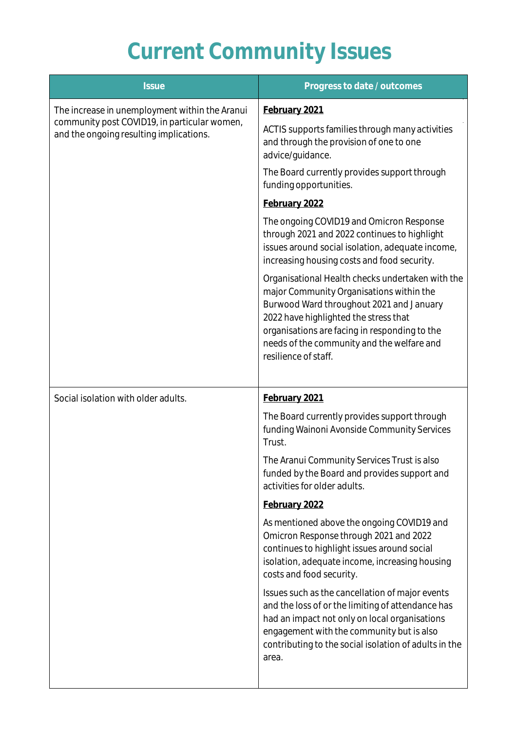# **Current Community Issues**

| <b>Issue</b>                                                                                                                              | Progress to date / outcomes                                                                                                                                                                                                                                                                              |
|-------------------------------------------------------------------------------------------------------------------------------------------|----------------------------------------------------------------------------------------------------------------------------------------------------------------------------------------------------------------------------------------------------------------------------------------------------------|
| The increase in unemployment within the Aranui<br>community post COVID19, in particular women,<br>and the ongoing resulting implications. | February 2021                                                                                                                                                                                                                                                                                            |
|                                                                                                                                           | ACTIS supports families through many activities<br>and through the provision of one to one<br>advice/guidance.                                                                                                                                                                                           |
|                                                                                                                                           | The Board currently provides support through<br>funding opportunities.                                                                                                                                                                                                                                   |
|                                                                                                                                           | February 2022                                                                                                                                                                                                                                                                                            |
|                                                                                                                                           | The ongoing COVID19 and Omicron Response<br>through 2021 and 2022 continues to highlight<br>issues around social isolation, adequate income,<br>increasing housing costs and food security.                                                                                                              |
|                                                                                                                                           | Organisational Health checks undertaken with the<br>major Community Organisations within the<br>Burwood Ward throughout 2021 and January<br>2022 have highlighted the stress that<br>organisations are facing in responding to the<br>needs of the community and the welfare and<br>resilience of staff. |
| Social isolation with older adults.                                                                                                       | February 2021                                                                                                                                                                                                                                                                                            |
|                                                                                                                                           | The Board currently provides support through<br>funding Wainoni Avonside Community Services<br>Trust.                                                                                                                                                                                                    |
|                                                                                                                                           | The Aranui Community Services Trust is also<br>funded by the Board and provides support and<br>activities for older adults.                                                                                                                                                                              |
|                                                                                                                                           | February 2022                                                                                                                                                                                                                                                                                            |
|                                                                                                                                           | As mentioned above the ongoing COVID19 and<br>Omicron Response through 2021 and 2022<br>continues to highlight issues around social<br>isolation, adequate income, increasing housing<br>costs and food security.                                                                                        |
|                                                                                                                                           | Issues such as the cancellation of major events<br>and the loss of or the limiting of attendance has<br>had an impact not only on local organisations<br>engagement with the community but is also<br>contributing to the social isolation of adults in the<br>area.                                     |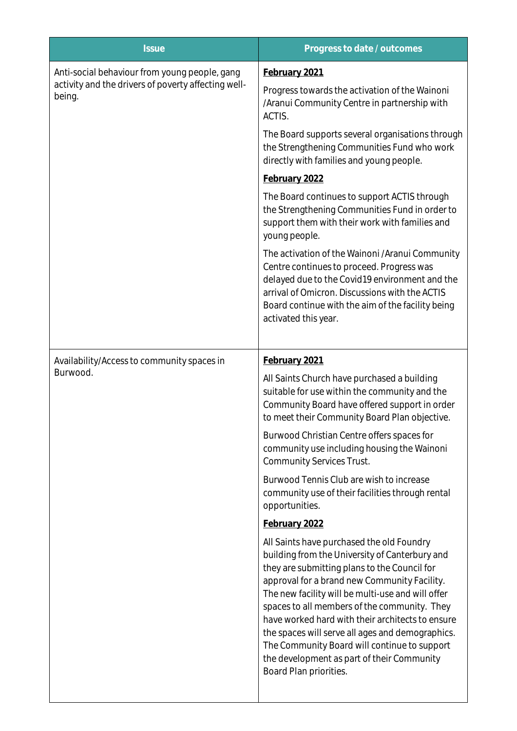| Progress to date / outcomes                                                                                                                                                                                                                                                                                                                                                                                                                                                                                                      |
|----------------------------------------------------------------------------------------------------------------------------------------------------------------------------------------------------------------------------------------------------------------------------------------------------------------------------------------------------------------------------------------------------------------------------------------------------------------------------------------------------------------------------------|
| February 2021                                                                                                                                                                                                                                                                                                                                                                                                                                                                                                                    |
| Progress towards the activation of the Wainoni<br>/Aranui Community Centre in partnership with<br>ACTIS.                                                                                                                                                                                                                                                                                                                                                                                                                         |
| The Board supports several organisations through<br>the Strengthening Communities Fund who work<br>directly with families and young people.                                                                                                                                                                                                                                                                                                                                                                                      |
| February 2022                                                                                                                                                                                                                                                                                                                                                                                                                                                                                                                    |
| The Board continues to support ACTIS through<br>the Strengthening Communities Fund in order to<br>support them with their work with families and<br>young people.                                                                                                                                                                                                                                                                                                                                                                |
| The activation of the Wainoni /Aranui Community<br>Centre continues to proceed. Progress was<br>delayed due to the Covid19 environment and the<br>arrival of Omicron. Discussions with the ACTIS<br>Board continue with the aim of the facility being<br>activated this year.                                                                                                                                                                                                                                                    |
| February 2021                                                                                                                                                                                                                                                                                                                                                                                                                                                                                                                    |
| All Saints Church have purchased a building<br>suitable for use within the community and the<br>Community Board have offered support in order<br>to meet their Community Board Plan objective.                                                                                                                                                                                                                                                                                                                                   |
| Burwood Christian Centre offers spaces for<br>community use including housing the Wainoni<br><b>Community Services Trust.</b>                                                                                                                                                                                                                                                                                                                                                                                                    |
| Burwood Tennis Club are wish to increase<br>community use of their facilities through rental<br>opportunities.                                                                                                                                                                                                                                                                                                                                                                                                                   |
| February 2022                                                                                                                                                                                                                                                                                                                                                                                                                                                                                                                    |
| All Saints have purchased the old Foundry<br>building from the University of Canterbury and<br>they are submitting plans to the Council for<br>approval for a brand new Community Facility.<br>The new facility will be multi-use and will offer<br>spaces to all members of the community. They<br>have worked hard with their architects to ensure<br>the spaces will serve all ages and demographics.<br>The Community Board will continue to support<br>the development as part of their Community<br>Board Plan priorities. |
|                                                                                                                                                                                                                                                                                                                                                                                                                                                                                                                                  |